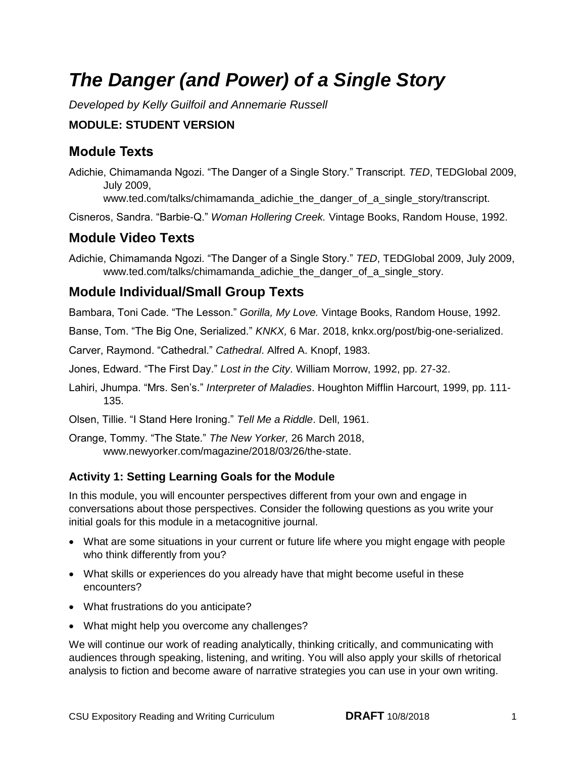# *The Danger (and Power) of a Single Story*

 *Developed by Kelly Guilfoil and Annemarie Russell* 

## **MODULE: STUDENT VERSION**

## **Module Texts**

 Adichie, Chimamanda Ngozi. "The Danger of a Single Story." Transcript. *TED*, TEDGlobal 2009, July 2009,

www.ted.com/talks/chimamanda\_adichie\_the\_danger\_of\_a\_single\_story/transcript.

Cisneros, Sandra. "Barbie-Q." *Woman Hollering Creek.* Vintage Books, Random House, 1992.

## **Module Video Texts**

 Adichie, Chimamanda Ngozi. "The Danger of a Single Story." *TED*, TEDGlobal 2009, July 2009, www.ted.com/talks/chimamanda\_adichie\_the\_danger\_of\_a\_single\_story.

## **Module Individual/Small Group Texts**

Bambara, Toni Cade. "The Lesson." *Gorilla, My Love.* Vintage Books, Random House, 1992.

Banse, Tom. "The Big One, Serialized." *KNKX,* 6 Mar. 2018, knkx.org/post/big-one-serialized.

Carver, Raymond. "Cathedral." *Cathedral*. Alfred A. Knopf, 1983.

Jones, Edward. "The First Day." *Lost in the City*. William Morrow, 1992, pp. 27-32.

 Lahiri, Jhumpa. "Mrs. Sen's." *Interpreter of Maladies*. Houghton Mifflin Harcourt, 1999, pp. 111- 135.

Olsen, Tillie. "I Stand Here Ironing." *Tell Me a Riddle*. Dell, 1961.

 Orange, Tommy. "The State." *The New Yorker,* 26 March 2018, www.newyorker.com/magazine/2018/03/26/the-state.

## **Activity 1: Setting Learning Goals for the Module**

 In this module, you will encounter perspectives different from your own and engage in conversations about those perspectives. Consider the following questions as you write your initial goals for this module in a metacognitive journal.

- What are some situations in your current or future life where you might engage with people who think differently from you?
- What skills or experiences do you already have that might become useful in these encounters?
- What frustrations do you anticipate?
- What might help you overcome any challenges?

 We will continue our work of reading analytically, thinking critically, and communicating with audiences through speaking, listening, and writing. You will also apply your skills of rhetorical analysis to fiction and become aware of narrative strategies you can use in your own writing.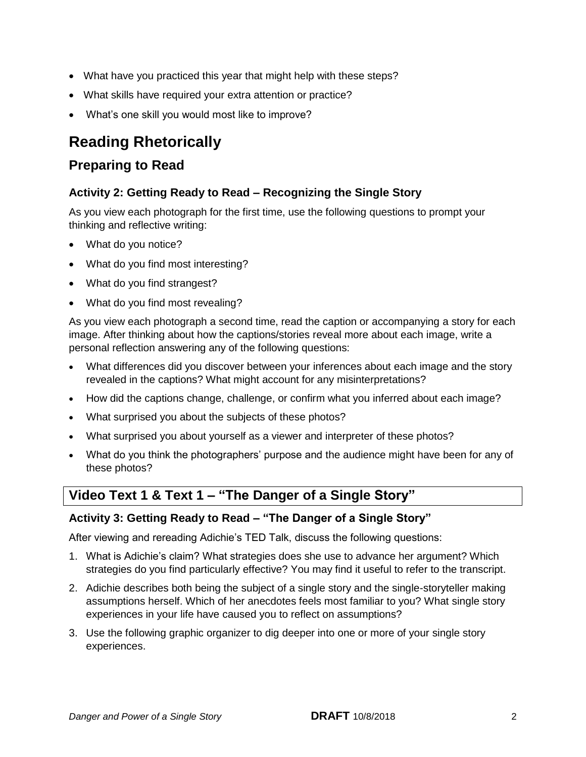- What have you practiced this year that might help with these steps?
- What skills have required your extra attention or practice?
- What's one skill you would most like to improve?

## **Reading Rhetorically**

## **Preparing to Read**

### **Activity 2: Getting Ready to Read – Recognizing the Single Story**

 As you view each photograph for the first time, use the following questions to prompt your thinking and reflective writing:

- What do you notice?
- What do you find most interesting?
- What do you find strangest?
- What do you find most revealing?

 As you view each photograph a second time, read the caption or accompanying a story for each image. After thinking about how the captions/stories reveal more about each image, write a personal reflection answering any of the following questions:

- What differences did you discover between your inferences about each image and the story revealed in the captions? What might account for any misinterpretations?
- How did the captions change, challenge, or confirm what you inferred about each image?
- What surprised you about the subjects of these photos?
- What surprised you about yourself as a viewer and interpreter of these photos?
- What do you think the photographers' purpose and the audience might have been for any of these photos?

## **Video Text 1 & Text 1 – "The Danger of a Single Story"**

#### **Activity 3: Getting Ready to Read – "The Danger of a Single Story"**

After viewing and rereading Adichie's TED Talk, discuss the following questions:

- 1. What is Adichie's claim? What strategies does she use to advance her argument? Which strategies do you find particularly effective? You may find it useful to refer to the transcript.
- 2. Adichie describes both being the subject of a single story and the single-storyteller making assumptions herself. Which of her anecdotes feels most familiar to you? What single story experiences in your life have caused you to reflect on assumptions?
- 3. Use the following graphic organizer to dig deeper into one or more of your single story experiences.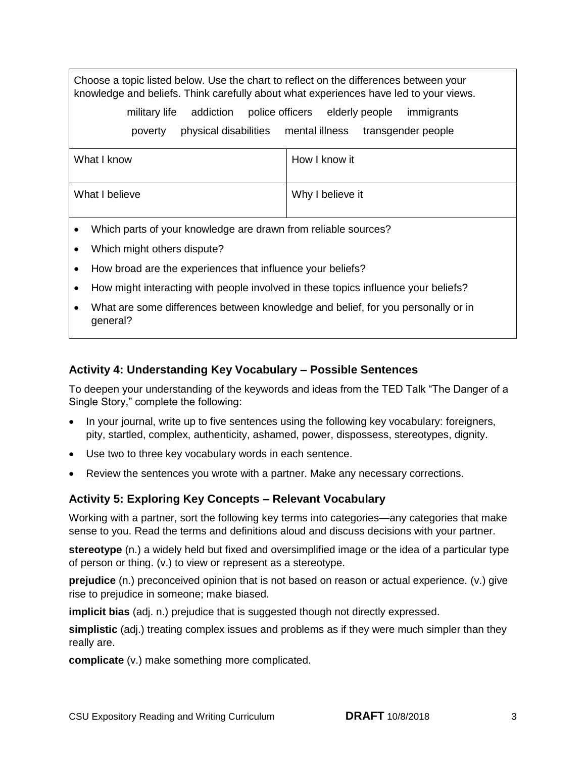| Choose a topic listed below. Use the chart to reflect on the differences between your<br>knowledge and beliefs. Think carefully about what experiences have led to your views. |                                                         |
|--------------------------------------------------------------------------------------------------------------------------------------------------------------------------------|---------------------------------------------------------|
| military life                                                                                                                                                                  | addiction police officers elderly people<br>immigrants  |
| poverty                                                                                                                                                                        | physical disabilities mental illness transgender people |
| What I know                                                                                                                                                                    | How I know it                                           |
|                                                                                                                                                                                |                                                         |
| What I believe                                                                                                                                                                 | Why I believe it                                        |
|                                                                                                                                                                                |                                                         |
| Which parts of your knowledge are drawn from reliable sources?<br>$\bullet$                                                                                                    |                                                         |
| Which might others dispute?                                                                                                                                                    |                                                         |
| How broad are the experiences that influence your beliefs?                                                                                                                     |                                                         |
| How might interacting with people involved in these topics influence your beliefs?                                                                                             |                                                         |

 What are some differences between knowledge and belief, for you personally or in general?

## **Activity 4: Understanding Key Vocabulary – Possible Sentences**

 To deepen your understanding of the keywords and ideas from the TED Talk "The Danger of a Single Story," complete the following:

- pity, startled, complex, authenticity, ashamed, power, dispossess, stereotypes, dignity. In your journal, write up to five sentences using the following key vocabulary: foreigners,
- Use two to three key vocabulary words in each sentence.
- Review the sentences you wrote with a partner. Make any necessary corrections.

## **Activity 5: Exploring Key Concepts – Relevant Vocabulary**

 Working with a partner, sort the following key terms into categories—any categories that make sense to you. Read the terms and definitions aloud and discuss decisions with your partner.

 **stereotype** (n.) a widely held but fixed and oversimplified image or the idea of a particular type of person or thing. (v.) to view or represent as a stereotype.

 **prejudice** (n.) preconceived opinion that is not based on reason or actual experience. (v.) give rise to prejudice in someone; make biased.

**implicit bias** (adj. n.) prejudice that is suggested though not directly expressed.

 **simplistic** (adj.) treating complex issues and problems as if they were much simpler than they really are.

**complicate** (v.) make something more complicated.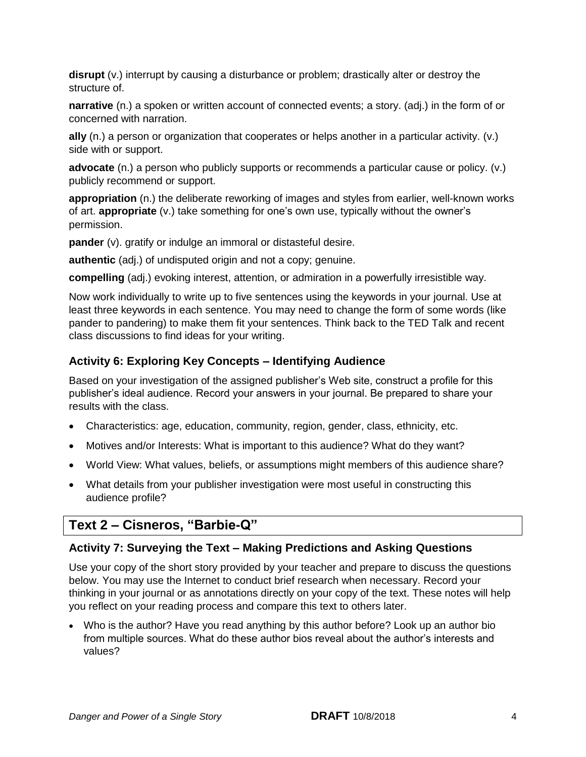**disrupt** (v.) interrupt by causing a disturbance or problem; drastically alter or destroy the structure of.

 **narrative** (n.) a spoken or written account of connected events; a story. (adj.) in the form of or concerned with narration.

 **ally** (n.) a person or organization that cooperates or helps another in a particular activity. (v.) side with or support.

 **advocate** (n.) a person who publicly supports or recommends a particular cause or policy. (v.) publicly recommend or support.

 **appropriation** (n.) the deliberate reworking of images and styles from earlier, well-known works of art. **appropriate** (v.) take something for one's own use, typically without the owner's permission.

**pander** (v). gratify or indulge an immoral or distasteful desire.

**authentic** (adj.) of undisputed origin and not a copy; genuine.

**compelling** (adj.) evoking interest, attention, or admiration in a powerfully irresistible way.

 Now work individually to write up to five sentences using the keywords in your journal. Use at least three keywords in each sentence. You may need to change the form of some words (like pander to pandering) to make them fit your sentences. Think back to the TED Talk and recent class discussions to find ideas for your writing.

## **Activity 6: Exploring Key Concepts – Identifying Audience**

 Based on your investigation of the assigned publisher's Web site, construct a profile for this publisher's ideal audience. Record your answers in your journal. Be prepared to share your results with the class.

- Characteristics: age, education, community, region, gender, class, ethnicity, etc.
- Motives and/or Interests: What is important to this audience? What do they want?
- World View: What values, beliefs, or assumptions might members of this audience share?
- What details from your publisher investigation were most useful in constructing this audience profile?

## **Text 2 – Cisneros, "Barbie-Q"**

## **Activity 7: Surveying the Text – Making Predictions and Asking Questions**

 Use your copy of the short story provided by your teacher and prepare to discuss the questions below. You may use the Internet to conduct brief research when necessary. Record your thinking in your journal or as annotations directly on your copy of the text. These notes will help you reflect on your reading process and compare this text to others later.

 Who is the author? Have you read anything by this author before? Look up an author bio from multiple sources. What do these author bios reveal about the author's interests and values?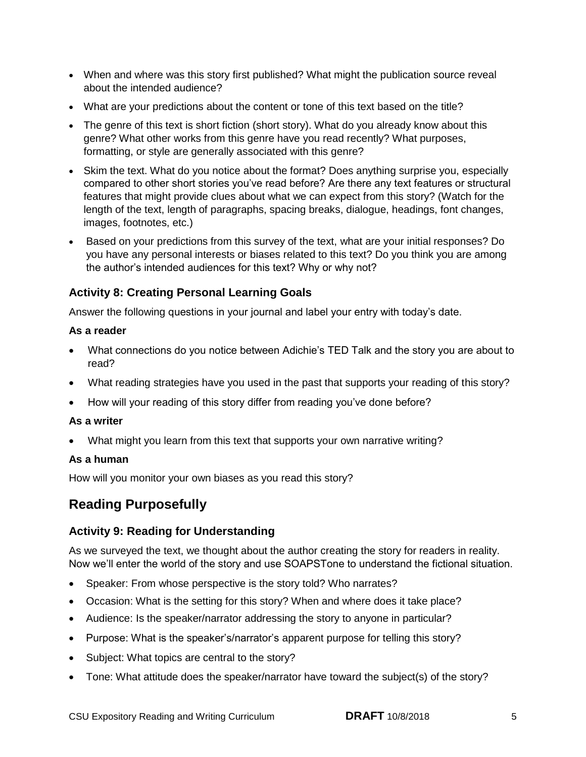- When and where was this story first published? What might the publication source reveal about the intended audience?
- What are your predictions about the content or tone of this text based on the title?
- The genre of this text is short fiction (short story). What do you already know about this genre? What other works from this genre have you read recently? What purposes, formatting, or style are generally associated with this genre?
- Skim the text. What do you notice about the format? Does anything surprise you, especially compared to other short stories you've read before? Are there any text features or structural features that might provide clues about what we can expect from this story? (Watch for the length of the text, length of paragraphs, spacing breaks, dialogue, headings, font changes, images, footnotes, etc.)
- Based on your predictions from this survey of the text, what are your initial responses? Do you have any personal interests or biases related to this text? Do you think you are among the author's intended audiences for this text? Why or why not?

## **Activity 8: Creating Personal Learning Goals**

Answer the following questions in your journal and label your entry with today's date.

### **As a reader**

- What connections do you notice between Adichie's TED Talk and the story you are about to read?
- What reading strategies have you used in the past that supports your reading of this story?
- How will your reading of this story differ from reading you've done before?

## **As a writer**

What might you learn from this text that supports your own narrative writing?

## **As a human**

How will you monitor your own biases as you read this story?

## **Reading Purposefully**

## **Activity 9: Reading for Understanding**

 As we surveyed the text, we thought about the author creating the story for readers in reality. Now we'll enter the world of the story and use SOAPSTone to understand the fictional situation.

- Speaker: From whose perspective is the story told? Who narrates?
- Occasion: What is the setting for this story? When and where does it take place?
- Audience: Is the speaker/narrator addressing the story to anyone in particular?
- Purpose: What is the speaker's/narrator's apparent purpose for telling this story?
- Subject: What topics are central to the story?
- Tone: What attitude does the speaker/narrator have toward the subject(s) of the story?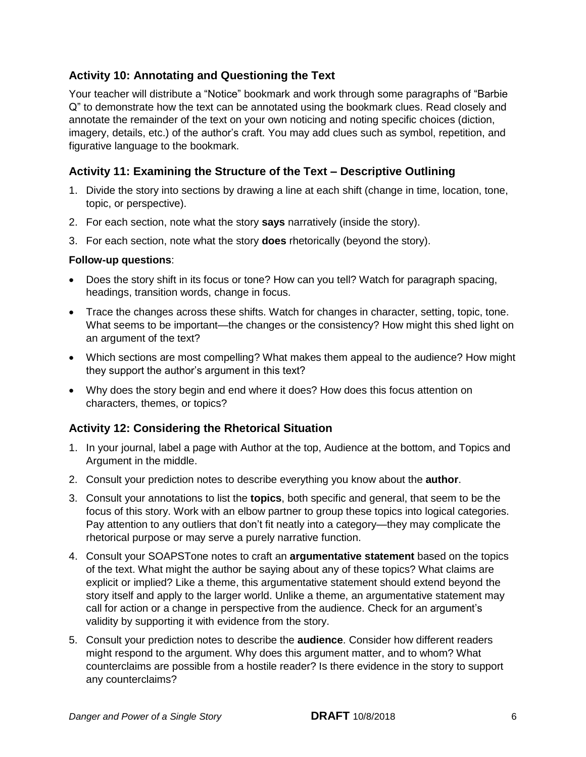### **Activity 10: Annotating and Questioning the Text**

 Your teacher will distribute a "Notice" bookmark and work through some paragraphs of "Barbie Q" to demonstrate how the text can be annotated using the bookmark clues. Read closely and annotate the remainder of the text on your own noticing and noting specific choices (diction, imagery, details, etc.) of the author's craft. You may add clues such as symbol, repetition, and figurative language to the bookmark.

### **Activity 11: Examining the Structure of the Text – Descriptive Outlining**

- 1. Divide the story into sections by drawing a line at each shift (change in time, location, tone, topic, or perspective).
- 2. For each section, note what the story **says** narratively (inside the story).
- 3. For each section, note what the story **does** rhetorically (beyond the story).

#### **Follow-up questions**:

- Does the story shift in its focus or tone? How can you tell? Watch for paragraph spacing, headings, transition words, change in focus.
- Trace the changes across these shifts. Watch for changes in character, setting, topic, tone. What seems to be important—the changes or the consistency? How might this shed light on an argument of the text?
- Which sections are most compelling? What makes them appeal to the audience? How might they support the author's argument in this text?
- Why does the story begin and end where it does? How does this focus attention on characters, themes, or topics?

#### **Activity 12: Considering the Rhetorical Situation**

- 1. In your journal, label a page with Author at the top, Audience at the bottom, and Topics and Argument in the middle.
- 2. Consult your prediction notes to describe everything you know about the **author**.
- 3. Consult your annotations to list the **topics**, both specific and general, that seem to be the focus of this story. Work with an elbow partner to group these topics into logical categories. Pay attention to any outliers that don't fit neatly into a category—they may complicate the rhetorical purpose or may serve a purely narrative function.
- 4. Consult your SOAPSTone notes to craft an **argumentative statement** based on the topics of the text. What might the author be saying about any of these topics? What claims are explicit or implied? Like a theme, this argumentative statement should extend beyond the story itself and apply to the larger world. Unlike a theme, an argumentative statement may call for action or a change in perspective from the audience. Check for an argument's validity by supporting it with evidence from the story.
- 5. Consult your prediction notes to describe the **audience**. Consider how different readers might respond to the argument. Why does this argument matter, and to whom? What counterclaims are possible from a hostile reader? Is there evidence in the story to support any counterclaims?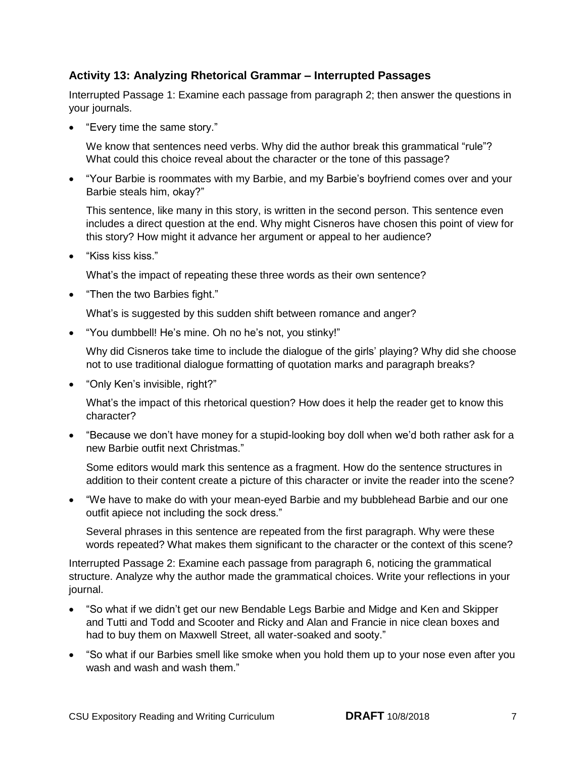## **Activity 13: Analyzing Rhetorical Grammar – Interrupted Passages**

 Interrupted Passage 1: Examine each passage from paragraph 2; then answer the questions in your journals.

"Every time the same story."

 We know that sentences need verbs. Why did the author break this grammatical "rule"? What could this choice reveal about the character or the tone of this passage?

 "Your Barbie is roommates with my Barbie, and my Barbie's boyfriend comes over and your Barbie steals him, okay?"

 This sentence, like many in this story, is written in the second person. This sentence even includes a direct question at the end. Why might Cisneros have chosen this point of view for this story? How might it advance her argument or appeal to her audience?

"Kiss kiss kiss."

What's the impact of repeating these three words as their own sentence?

"Then the two Barbies fight."

What's is suggested by this sudden shift between romance and anger?

"You dumbbell! He's mine. Oh no he's not, you stinky!"

 Why did Cisneros take time to include the dialogue of the girls' playing? Why did she choose not to use traditional dialogue formatting of quotation marks and paragraph breaks?

"Only Ken's invisible, right?"

 What's the impact of this rhetorical question? How does it help the reader get to know this character?

• "Because we don't have money for a stupid-looking boy doll when we'd both rather ask for a new Barbie outfit next Christmas."

 Some editors would mark this sentence as a fragment. How do the sentence structures in addition to their content create a picture of this character or invite the reader into the scene?

 "We have to make do with your mean-eyed Barbie and my bubblehead Barbie and our one outfit apiece not including the sock dress."

 Several phrases in this sentence are repeated from the first paragraph. Why were these words repeated? What makes them significant to the character or the context of this scene?

 Interrupted Passage 2: Examine each passage from paragraph 6, noticing the grammatical structure. Analyze why the author made the grammatical choices. Write your reflections in your journal.

- "So what if we didn't get our new Bendable Legs Barbie and Midge and Ken and Skipper and Tutti and Todd and Scooter and Ricky and Alan and Francie in nice clean boxes and had to buy them on Maxwell Street, all water-soaked and sooty."
- wash and wash and wash them." "So what if our Barbies smell like smoke when you hold them up to your nose even after you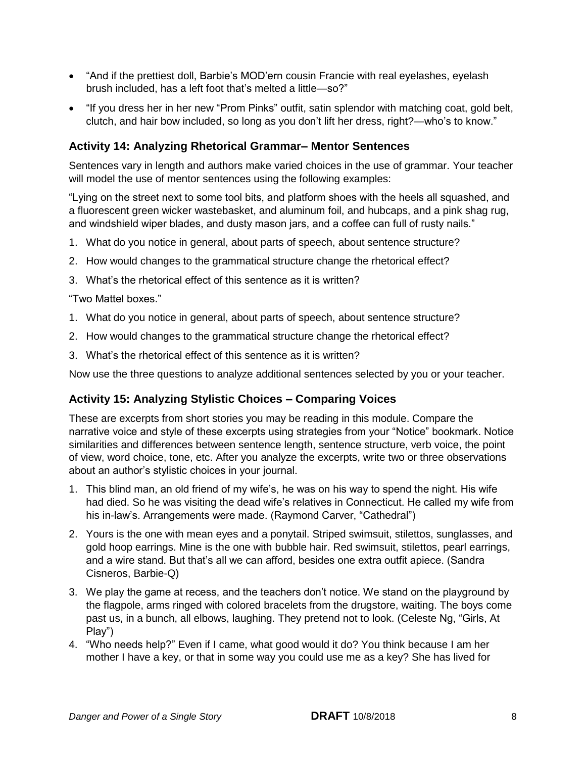- "And if the prettiest doll, Barbie's MOD'ern cousin Francie with real eyelashes, eyelash brush included, has a left foot that's melted a little—so?"
- "If you dress her in her new "Prom Pinks" outfit, satin splendor with matching coat, gold belt, clutch, and hair bow included, so long as you don't lift her dress, right?—who's to know."

#### **Activity 14: Analyzing Rhetorical Grammar– Mentor Sentences**

 Sentences vary in length and authors make varied choices in the use of grammar. Your teacher will model the use of mentor sentences using the following examples:

 "Lying on the street next to some tool bits, and platform shoes with the heels all squashed, and a fluorescent green wicker wastebasket, and aluminum foil, and hubcaps, and a pink shag rug, and windshield wiper blades, and dusty mason jars, and a coffee can full of rusty nails."

- 1. What do you notice in general, about parts of speech, about sentence structure?
- 2. How would changes to the grammatical structure change the rhetorical effect?
- 3. What's the rhetorical effect of this sentence as it is written?

"Two Mattel boxes."

- 1. What do you notice in general, about parts of speech, about sentence structure?
- 2. How would changes to the grammatical structure change the rhetorical effect?
- 3. What's the rhetorical effect of this sentence as it is written?

Now use the three questions to analyze additional sentences selected by you or your teacher.

#### **Activity 15: Analyzing Stylistic Choices – Comparing Voices**

 These are excerpts from short stories you may be reading in this module. Compare the narrative voice and style of these excerpts using strategies from your "Notice" bookmark. Notice similarities and differences between sentence length, sentence structure, verb voice, the point of view, word choice, tone, etc. After you analyze the excerpts, write two or three observations about an author's stylistic choices in your journal.

- 1. This blind man, an old friend of my wife's, he was on his way to spend the night. His wife had died. So he was visiting the dead wife's relatives in Connecticut. He called my wife from his in-law's. Arrangements were made. (Raymond Carver, "Cathedral")
- 2. Yours is the one with mean eyes and a ponytail. Striped swimsuit, stilettos, sunglasses, and gold hoop earrings. Mine is the one with bubble hair. Red swimsuit, stilettos, pearl earrings, and a wire stand. But that's all we can afford, besides one extra outfit apiece. (Sandra Cisneros, Barbie-Q)
- 3. We play the game at recess, and the teachers don't notice. We stand on the playground by the flagpole, arms ringed with colored bracelets from the drugstore, waiting. The boys come past us, in a bunch, all elbows, laughing. They pretend not to look. (Celeste Ng, "Girls, At Play")
- 4. "Who needs help?" Even if I came, what good would it do? You think because I am her mother I have a key, or that in some way you could use me as a key? She has lived for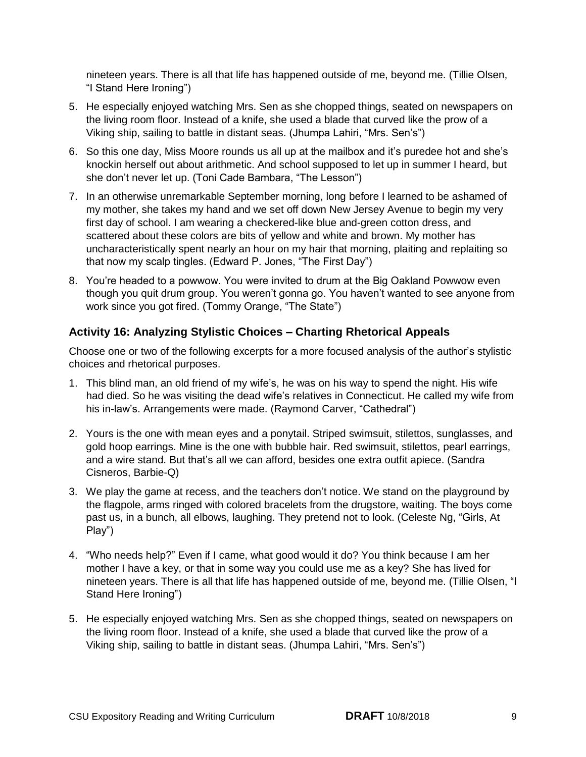nineteen years. There is all that life has happened outside of me, beyond me. (Tillie Olsen, "I Stand Here Ironing")

- 5. He especially enjoyed watching Mrs. Sen as she chopped things, seated on newspapers on the living room floor. Instead of a knife, she used a blade that curved like the prow of a Viking ship, sailing to battle in distant seas. (Jhumpa Lahiri, "Mrs. Sen's")
- 6. So this one day, Miss Moore rounds us all up at the mailbox and it's puredee hot and she's knockin herself out about arithmetic. And school supposed to let up in summer I heard, but she don't never let up. (Toni Cade Bambara, "The Lesson")
- 7. In an otherwise unremarkable September morning, long before I learned to be ashamed of my mother, she takes my hand and we set off down New Jersey Avenue to begin my very first day of school. I am wearing a checkered-like blue and-green cotton dress, and scattered about these colors are bits of yellow and white and brown. My mother has uncharacteristically spent nearly an hour on my hair that morning, plaiting and replaiting so that now my scalp tingles. (Edward P. Jones, "The First Day")
- 8. You're headed to a powwow. You were invited to drum at the Big Oakland Powwow even though you quit drum group. You weren't gonna go. You haven't wanted to see anyone from work since you got fired. (Tommy Orange, "The State")

## **Activity 16: Analyzing Stylistic Choices – Charting Rhetorical Appeals**

 Choose one or two of the following excerpts for a more focused analysis of the author's stylistic choices and rhetorical purposes.

- 1. This blind man, an old friend of my wife's, he was on his way to spend the night. His wife had died. So he was visiting the dead wife's relatives in Connecticut. He called my wife from his in-law's. Arrangements were made. (Raymond Carver, "Cathedral")
- 2. Yours is the one with mean eyes and a ponytail. Striped swimsuit, stilettos, sunglasses, and gold hoop earrings. Mine is the one with bubble hair. Red swimsuit, stilettos, pearl earrings, and a wire stand. But that's all we can afford, besides one extra outfit apiece. (Sandra Cisneros, Barbie-Q)
- 3. We play the game at recess, and the teachers don't notice. We stand on the playground by the flagpole, arms ringed with colored bracelets from the drugstore, waiting. The boys come past us, in a bunch, all elbows, laughing. They pretend not to look. (Celeste Ng, "Girls, At Play")
- 4. "Who needs help?" Even if I came, what good would it do? You think because I am her mother I have a key, or that in some way you could use me as a key? She has lived for nineteen years. There is all that life has happened outside of me, beyond me. (Tillie Olsen, "I Stand Here Ironing")
- 5. He especially enjoyed watching Mrs. Sen as she chopped things, seated on newspapers on the living room floor. Instead of a knife, she used a blade that curved like the prow of a Viking ship, sailing to battle in distant seas. (Jhumpa Lahiri, "Mrs. Sen's")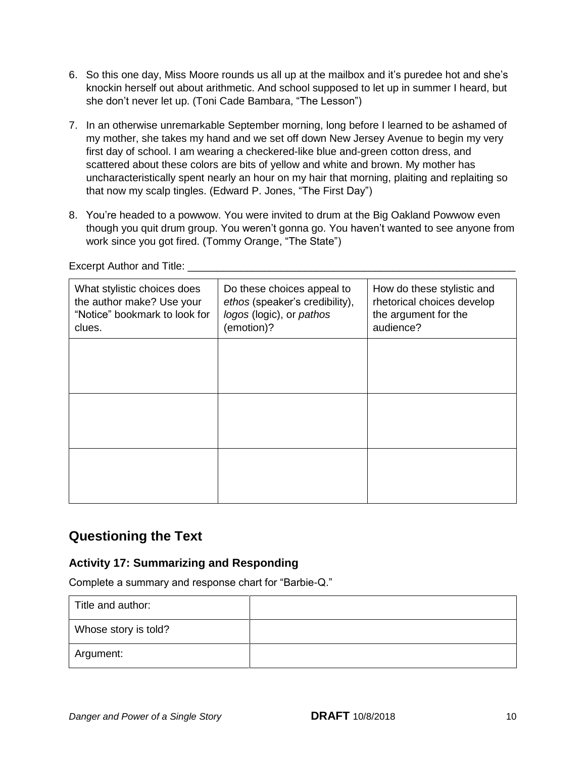- 6. So this one day, Miss Moore rounds us all up at the mailbox and it's puredee hot and she's knockin herself out about arithmetic. And school supposed to let up in summer I heard, but she don't never let up. (Toni Cade Bambara, "The Lesson")
- 7. In an otherwise unremarkable September morning, long before I learned to be ashamed of my mother, she takes my hand and we set off down New Jersey Avenue to begin my very first day of school. I am wearing a checkered-like blue and-green cotton dress, and scattered about these colors are bits of yellow and white and brown. My mother has uncharacteristically spent nearly an hour on my hair that morning, plaiting and replaiting so that now my scalp tingles. (Edward P. Jones, "The First Day")
- 8. You're headed to a powwow. You were invited to drum at the Big Oakland Powwow even though you quit drum group. You weren't gonna go. You haven't wanted to see anyone from work since you got fired. (Tommy Orange, "The State")

| What stylistic choices does<br>the author make? Use your<br>"Notice" bookmark to look for<br>clues. | Do these choices appeal to<br>ethos (speaker's credibility),<br>logos (logic), or pathos<br>(emotion)? | How do these stylistic and<br>rhetorical choices develop<br>the argument for the<br>audience? |
|-----------------------------------------------------------------------------------------------------|--------------------------------------------------------------------------------------------------------|-----------------------------------------------------------------------------------------------|
|                                                                                                     |                                                                                                        |                                                                                               |
|                                                                                                     |                                                                                                        |                                                                                               |
|                                                                                                     |                                                                                                        |                                                                                               |

Excerpt Author and Title: \_\_\_\_\_\_\_\_\_\_\_\_\_\_\_\_\_\_\_\_\_\_\_\_\_\_\_\_\_\_\_\_\_\_\_\_\_\_\_\_\_\_\_\_\_\_\_\_\_\_\_\_\_\_\_\_

## **Questioning the Text**

#### **Activity 17: Summarizing and Responding**

Complete a summary and response chart for "Barbie-Q."

| Title and author:    |  |
|----------------------|--|
| Whose story is told? |  |
| Argument:            |  |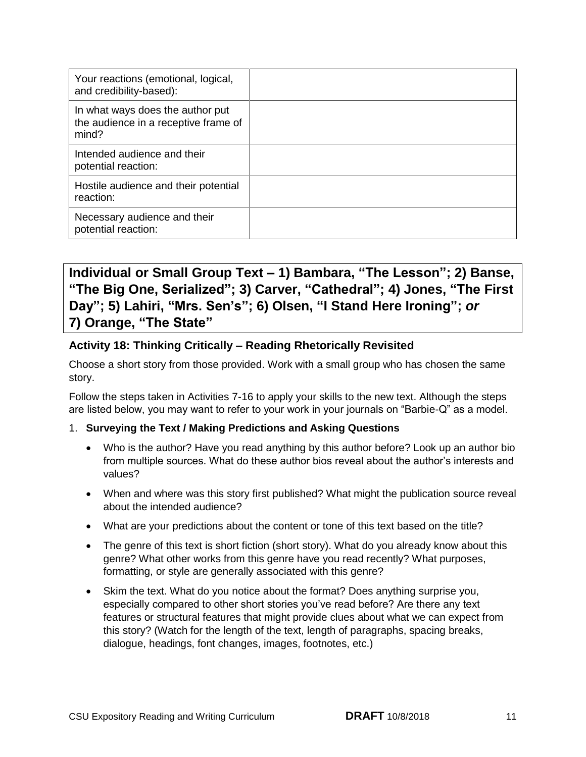| Your reactions (emotional, logical,<br>and credibility-based):                    |  |
|-----------------------------------------------------------------------------------|--|
| In what ways does the author put<br>the audience in a receptive frame of<br>mind? |  |
| Intended audience and their<br>potential reaction:                                |  |
| Hostile audience and their potential<br>reaction:                                 |  |
| Necessary audience and their<br>potential reaction:                               |  |

## **Individual or Small Group Text – 1) Bambara, "The Lesson"; 2) Banse, "The Big One, Serialized"; 3) Carver, "Cathedral"; 4) Jones, "The First Day"; 5) Lahiri, "Mrs. Sen's"; 6) Olsen, "I Stand Here Ironing";** *or*   **7) Orange, "The State"**

## **Activity 18: Thinking Critically – Reading Rhetorically Revisited**

 Choose a short story from those provided. Work with a small group who has chosen the same story.

 Follow the steps taken in Activities 7-16 to apply your skills to the new text. Although the steps are listed below, you may want to refer to your work in your journals on "Barbie-Q" as a model.

## 1. **Surveying the Text / Making Predictions and Asking Questions**

- Who is the author? Have you read anything by this author before? Look up an author bio from multiple sources. What do these author bios reveal about the author's interests and values?
- When and where was this story first published? What might the publication source reveal about the intended audience?
- What are your predictions about the content or tone of this text based on the title?
- The genre of this text is short fiction (short story). What do you already know about this genre? What other works from this genre have you read recently? What purposes, formatting, or style are generally associated with this genre?
- Skim the text. What do you notice about the format? Does anything surprise you, especially compared to other short stories you've read before? Are there any text features or structural features that might provide clues about what we can expect from this story? (Watch for the length of the text, length of paragraphs, spacing breaks, dialogue, headings, font changes, images, footnotes, etc.)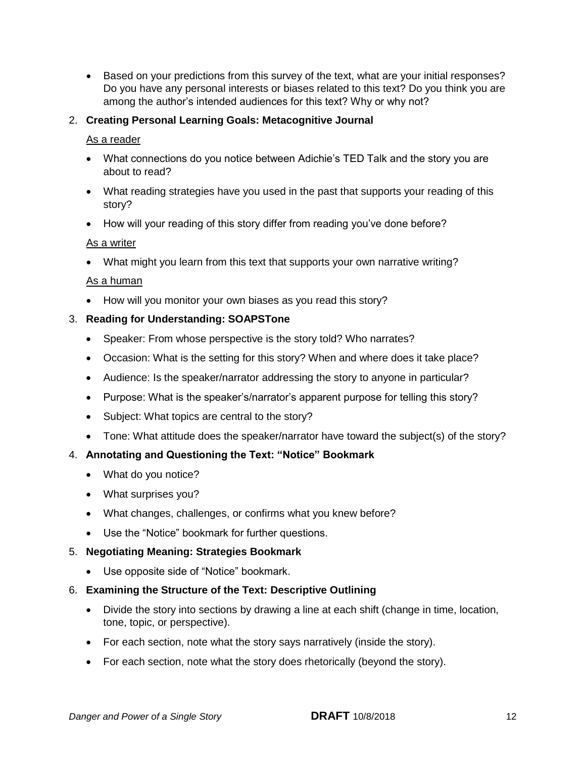• Based on your predictions from this survey of the text, what are your initial responses? Do you have any personal interests or biases related to this text? Do you think you are among the author's intended audiences for this text? Why or why not?

#### 2. **Creating Personal Learning Goals: Metacognitive Journal**

#### As a reader

- What connections do you notice between Adichie's TED Talk and the story you are about to read?
- What reading strategies have you used in the past that supports your reading of this story?
- How will your reading of this story differ from reading you've done before?

#### As a writer

What might you learn from this text that supports your own narrative writing?

#### As a human

• How will you monitor your own biases as you read this story?

#### 3. **Reading for Understanding: SOAPSTone**

- Speaker: From whose perspective is the story told? Who narrates?
- Occasion: What is the setting for this story? When and where does it take place?
- Audience: Is the speaker/narrator addressing the story to anyone in particular?
- Purpose: What is the speaker's/narrator's apparent purpose for telling this story?
- Subject: What topics are central to the story?
- Tone: What attitude does the speaker/narrator have toward the subject(s) of the story?
- 4. **Annotating and Questioning the Text: "Notice" Bookmark**
	- What do you notice?
	- What surprises you?
	- What changes, challenges, or confirms what you knew before?
	- Use the "Notice" bookmark for further questions.

#### 5. **Negotiating Meaning: Strategies Bookmark**

- Use opposite side of "Notice" bookmark.
- 6. **Examining the Structure of the Text: Descriptive Outlining** 
	- Divide the story into sections by drawing a line at each shift (change in time, location, tone, topic, or perspective).
	- For each section, note what the story says narratively (inside the story).
	- For each section, note what the story does rhetorically (beyond the story).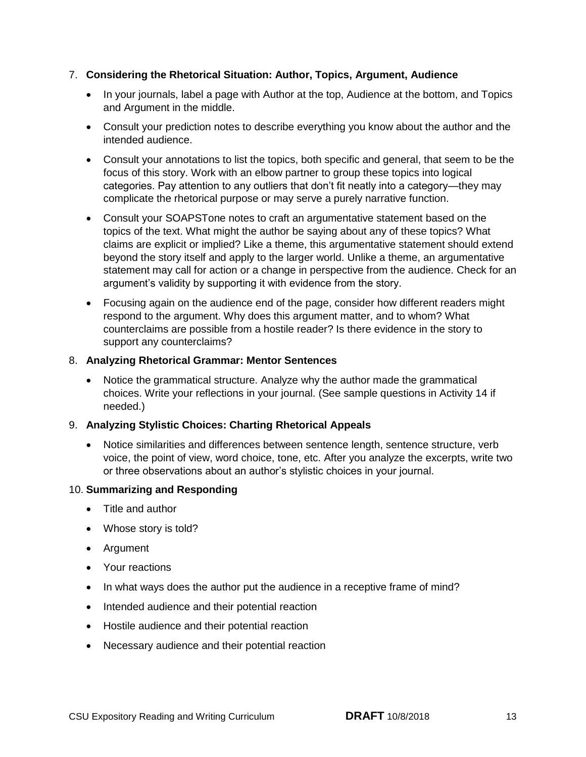#### 7. **Considering the Rhetorical Situation: Author, Topics, Argument, Audience**

- In your journals, label a page with Author at the top, Audience at the bottom, and Topics and Argument in the middle.
- Consult your prediction notes to describe everything you know about the author and the intended audience.
- Consult your annotations to list the topics, both specific and general, that seem to be the focus of this story. Work with an elbow partner to group these topics into logical categories. Pay attention to any outliers that don't fit neatly into a category—they may complicate the rhetorical purpose or may serve a purely narrative function.
- Consult your SOAPSTone notes to craft an argumentative statement based on the topics of the text. What might the author be saying about any of these topics? What claims are explicit or implied? Like a theme, this argumentative statement should extend beyond the story itself and apply to the larger world. Unlike a theme, an argumentative statement may call for action or a change in perspective from the audience. Check for an argument's validity by supporting it with evidence from the story.
- Focusing again on the audience end of the page, consider how different readers might respond to the argument. Why does this argument matter, and to whom? What counterclaims are possible from a hostile reader? Is there evidence in the story to support any counterclaims?

#### 8. **Analyzing Rhetorical Grammar: Mentor Sentences**

 choices. Write your reflections in your journal. (See sample questions in Activity 14 if Notice the grammatical structure. Analyze why the author made the grammatical needed.)

#### 9. **Analyzing Stylistic Choices: Charting Rhetorical Appeals**

 Notice similarities and differences between sentence length, sentence structure, verb voice, the point of view, word choice, tone, etc. After you analyze the excerpts, write two or three observations about an author's stylistic choices in your journal.

#### 10. **Summarizing and Responding**

- Title and author
- Whose story is told?
- Argument
- Your reactions
- In what ways does the author put the audience in a receptive frame of mind?
- Intended audience and their potential reaction
- Hostile audience and their potential reaction
- Necessary audience and their potential reaction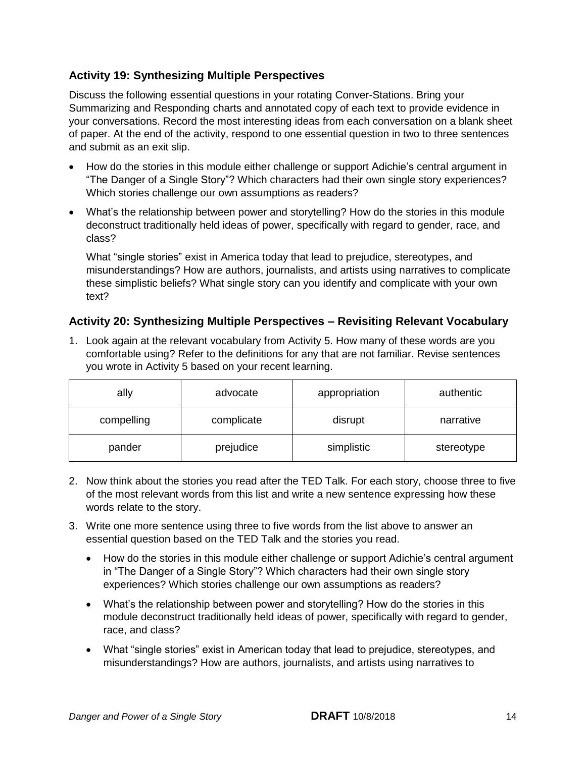## **Activity 19: Synthesizing Multiple Perspectives**

 Discuss the following essential questions in your rotating Conver-Stations. Bring your Summarizing and Responding charts and annotated copy of each text to provide evidence in your conversations. Record the most interesting ideas from each conversation on a blank sheet of paper. At the end of the activity, respond to one essential question in two to three sentences and submit as an exit slip.

- How do the stories in this module either challenge or support Adichie's central argument in "The Danger of a Single Story"? Which characters had their own single story experiences? Which stories challenge our own assumptions as readers?
- What's the relationship between power and storytelling? How do the stories in this module deconstruct traditionally held ideas of power, specifically with regard to gender, race, and class?

 What "single stories" exist in America today that lead to prejudice, stereotypes, and misunderstandings? How are authors, journalists, and artists using narratives to complicate these simplistic beliefs? What single story can you identify and complicate with your own text?

## **Activity 20: Synthesizing Multiple Perspectives – Revisiting Relevant Vocabulary**

 1. Look again at the relevant vocabulary from Activity 5. How many of these words are you comfortable using? Refer to the definitions for any that are not familiar. Revise sentences you wrote in Activity 5 based on your recent learning.

| ally       | advocate   | appropriation | authentic  |
|------------|------------|---------------|------------|
| compelling | complicate | disrupt       | narrative  |
| pander     | prejudice  | simplistic    | stereotype |

- 2. Now think about the stories you read after the TED Talk. For each story, choose three to five of the most relevant words from this list and write a new sentence expressing how these words relate to the story.
- 3. Write one more sentence using three to five words from the list above to answer an essential question based on the TED Talk and the stories you read.
	- $\bullet$  in "The Danger of a Single Story"? Which characters had their own single story How do the stories in this module either challenge or support Adichie's central argument experiences? Which stories challenge our own assumptions as readers?
	- What's the relationship between power and storytelling? How do the stories in this module deconstruct traditionally held ideas of power, specifically with regard to gender, race, and class?
	- What "single stories" exist in American today that lead to prejudice, stereotypes, and misunderstandings? How are authors, journalists, and artists using narratives to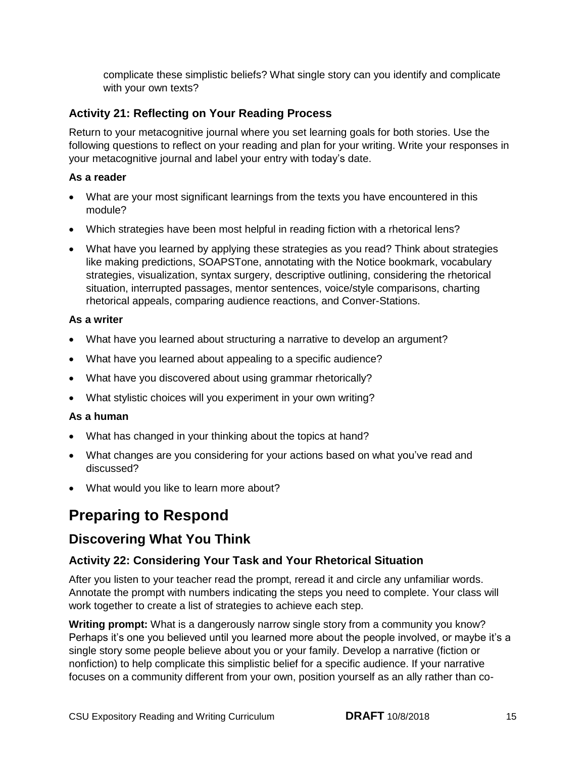complicate these simplistic beliefs? What single story can you identify and complicate with your own texts?

## **Activity 21: Reflecting on Your Reading Process**

 Return to your metacognitive journal where you set learning goals for both stories. Use the following questions to reflect on your reading and plan for your writing. Write your responses in your metacognitive journal and label your entry with today's date.

#### **As a reader**

- What are your most significant learnings from the texts you have encountered in this module?
- Which strategies have been most helpful in reading fiction with a rhetorical lens?
- like making predictions, SOAPSTone, annotating with the Notice bookmark, vocabulary strategies, visualization, syntax surgery, descriptive outlining, considering the rhetorical situation, interrupted passages, mentor sentences, voice/style comparisons, charting rhetorical appeals, comparing audience reactions, and Conver-Stations. What have you learned by applying these strategies as you read? Think about strategies

#### **As a writer**

- What have you learned about structuring a narrative to develop an argument?
- What have you learned about appealing to a specific audience?
- What have you discovered about using grammar rhetorically?
- What stylistic choices will you experiment in your own writing?

#### **As a human**

- What has changed in your thinking about the topics at hand?
- What changes are you considering for your actions based on what you've read and discussed?
- What would you like to learn more about?

## **Preparing to Respond**

## **Discovering What You Think**

## **Activity 22: Considering Your Task and Your Rhetorical Situation**

 After you listen to your teacher read the prompt, reread it and circle any unfamiliar words. Annotate the prompt with numbers indicating the steps you need to complete. Your class will work together to create a list of strategies to achieve each step.

 **Writing prompt:** What is a dangerously narrow single story from a community you know? Perhaps it's one you believed until you learned more about the people involved, or maybe it's a single story some people believe about you or your family. Develop a narrative (fiction or nonfiction) to help complicate this simplistic belief for a specific audience. If your narrative focuses on a community different from your own, position yourself as an ally rather than co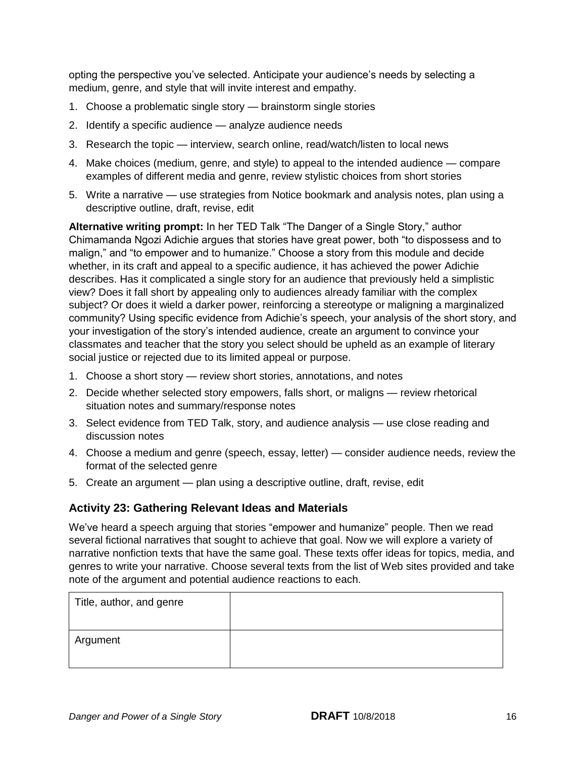opting the perspective you've selected. Anticipate your audience's needs by selecting a medium, genre, and style that will invite interest and empathy.

- 1. Choose a problematic single story brainstorm single stories
- 2. Identify a specific audience analyze audience needs
- 3. Research the topic interview, search online, read/watch/listen to local news
- 4. Make choices (medium, genre, and style) to appeal to the intended audience compare examples of different media and genre, review stylistic choices from short stories
- 5. Write a narrative use strategies from Notice bookmark and analysis notes, plan using a descriptive outline, draft, revise, edit

 **Alternative writing prompt:** In her TED Talk "The Danger of a Single Story," author Chimamanda Ngozi Adichie argues that stories have great power, both "to dispossess and to malign," and "to empower and to humanize." Choose a story from this module and decide whether, in its craft and appeal to a specific audience, it has achieved the power Adichie describes. Has it complicated a single story for an audience that previously held a simplistic view? Does it fall short by appealing only to audiences already familiar with the complex subject? Or does it wield a darker power, reinforcing a stereotype or maligning a marginalized community? Using specific evidence from Adichie's speech, your analysis of the short story, and your investigation of the story's intended audience, create an argument to convince your classmates and teacher that the story you select should be upheld as an example of literary social justice or rejected due to its limited appeal or purpose.

- 1. Choose a short story review short stories, annotations, and notes
- 2. Decide whether selected story empowers, falls short, or maligns review rhetorical situation notes and summary/response notes
- 3. Select evidence from TED Talk, story, and audience analysis use close reading and discussion notes
- 4. Choose a medium and genre (speech, essay, letter) consider audience needs, review the format of the selected genre
- 5. Create an argument plan using a descriptive outline, draft, revise, edit

#### **Activity 23: Gathering Relevant Ideas and Materials**

 We've heard a speech arguing that stories "empower and humanize" people. Then we read several fictional narratives that sought to achieve that goal. Now we will explore a variety of narrative nonfiction texts that have the same goal. These texts offer ideas for topics, media, and genres to write your narrative. Choose several texts from the list of Web sites provided and take note of the argument and potential audience reactions to each.

| Title, author, and genre |  |
|--------------------------|--|
| Argument                 |  |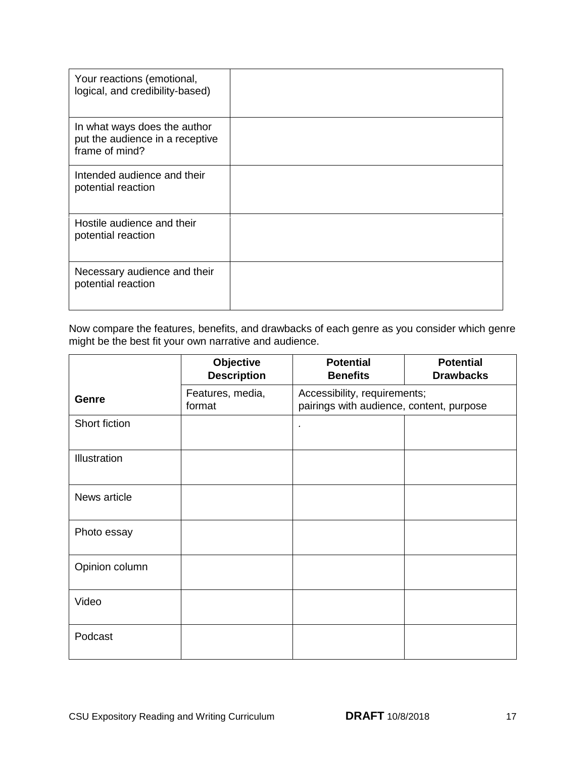| Your reactions (emotional,<br>logical, and credibility-based)                     |  |
|-----------------------------------------------------------------------------------|--|
| In what ways does the author<br>put the audience in a receptive<br>frame of mind? |  |
| Intended audience and their<br>potential reaction                                 |  |
| Hostile audience and their<br>potential reaction                                  |  |
| Necessary audience and their<br>potential reaction                                |  |

 Now compare the features, benefits, and drawbacks of each genre as you consider which genre might be the best fit your own narrative and audience.

|                | Objective<br><b>Description</b> | <b>Potential</b><br><b>Benefits</b>                                      | <b>Potential</b><br><b>Drawbacks</b> |
|----------------|---------------------------------|--------------------------------------------------------------------------|--------------------------------------|
| Genre          | Features, media,<br>format      | Accessibility, requirements;<br>pairings with audience, content, purpose |                                      |
| Short fiction  |                                 | ×                                                                        |                                      |
| Illustration   |                                 |                                                                          |                                      |
| News article   |                                 |                                                                          |                                      |
| Photo essay    |                                 |                                                                          |                                      |
| Opinion column |                                 |                                                                          |                                      |
| Video          |                                 |                                                                          |                                      |
| Podcast        |                                 |                                                                          |                                      |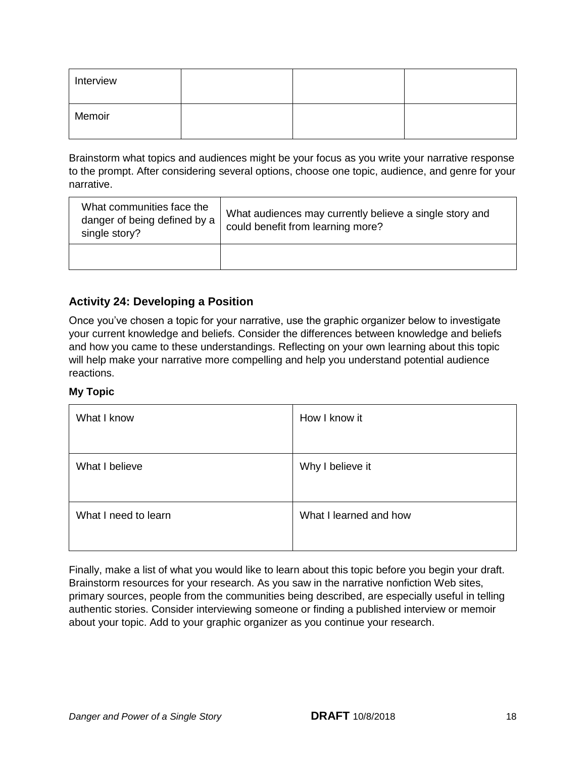| Interview |  |  |
|-----------|--|--|
| Memoir    |  |  |

 Brainstorm what topics and audiences might be your focus as you write your narrative response to the prompt. After considering several options, choose one topic, audience, and genre for your narrative.

| What communities face the<br>danger of being defined by a<br>single story? | What audiences may currently believe a single story and<br>could benefit from learning more? |
|----------------------------------------------------------------------------|----------------------------------------------------------------------------------------------|
|                                                                            |                                                                                              |

#### **Activity 24: Developing a Position**

 Once you've chosen a topic for your narrative, use the graphic organizer below to investigate your current knowledge and beliefs. Consider the differences between knowledge and beliefs and how you came to these understandings. Reflecting on your own learning about this topic will help make your narrative more compelling and help you understand potential audience reactions.

#### **My Topic**

| What I know          | How I know it          |
|----------------------|------------------------|
| What I believe       | Why I believe it       |
| What I need to learn | What I learned and how |

 Finally, make a list of what you would like to learn about this topic before you begin your draft. Brainstorm resources for your research. As you saw in the narrative nonfiction Web sites, primary sources, people from the communities being described, are especially useful in telling authentic stories. Consider interviewing someone or finding a published interview or memoir about your topic. Add to your graphic organizer as you continue your research.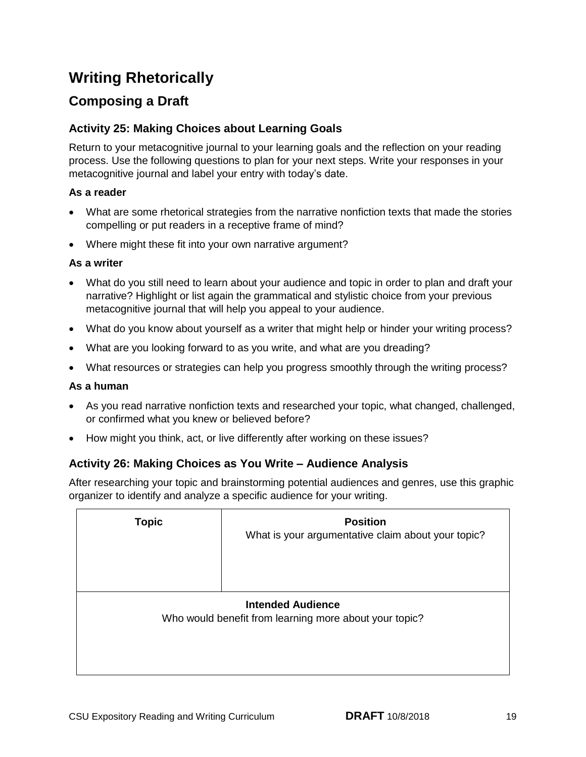## **Writing Rhetorically**

## **Composing a Draft**

## **Activity 25: Making Choices about Learning Goals**

 Return to your metacognitive journal to your learning goals and the reflection on your reading process. Use the following questions to plan for your next steps. Write your responses in your metacognitive journal and label your entry with today's date.

#### **As a reader**

- What are some rhetorical strategies from the narrative nonfiction texts that made the stories compelling or put readers in a receptive frame of mind?
- Where might these fit into your own narrative argument?

#### **As a writer**

- What do you still need to learn about your audience and topic in order to plan and draft your narrative? Highlight or list again the grammatical and stylistic choice from your previous metacognitive journal that will help you appeal to your audience.
- What do you know about yourself as a writer that might help or hinder your writing process?
- What are you looking forward to as you write, and what are you dreading?
- What resources or strategies can help you progress smoothly through the writing process?

#### **As a human**

- As you read narrative nonfiction texts and researched your topic, what changed, challenged, or confirmed what you knew or believed before?
- $\bullet$ How might you think, act, or live differently after working on these issues?

## **Activity 26: Making Choices as You Write – Audience Analysis**

 After researching your topic and brainstorming potential audiences and genres, use this graphic organizer to identify and analyze a specific audience for your writing.

| Topic | <b>Position</b><br>What is your argumentative claim about your topic? |  |
|-------|-----------------------------------------------------------------------|--|
|       |                                                                       |  |
|       |                                                                       |  |
|       | <b>Intended Audience</b>                                              |  |
|       | Who would benefit from learning more about your topic?                |  |
|       |                                                                       |  |
|       |                                                                       |  |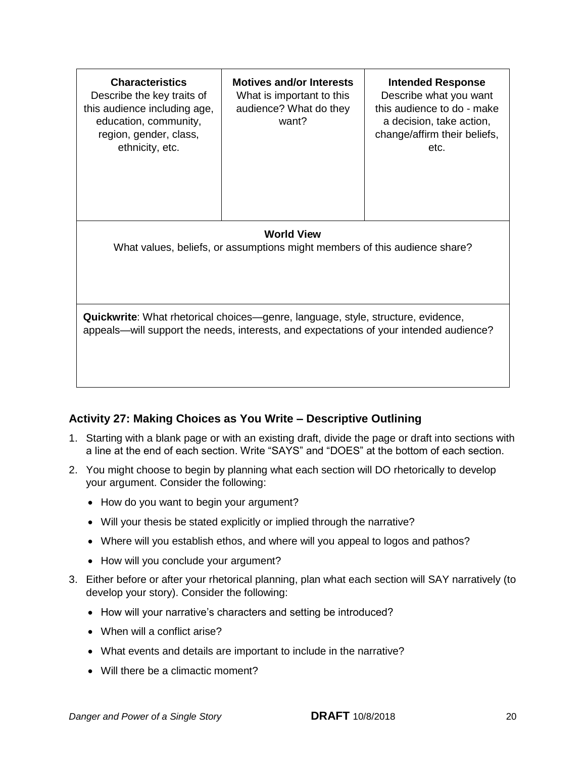| <b>Characteristics</b><br>Describe the key traits of<br>this audience including age,<br>education, community,<br>region, gender, class,<br>ethnicity, etc.                        | <b>Motives and/or Interests</b><br>What is important to this<br>audience? What do they<br>want? | <b>Intended Response</b><br>Describe what you want<br>this audience to do - make<br>a decision, take action,<br>change/affirm their beliefs,<br>etc. |
|-----------------------------------------------------------------------------------------------------------------------------------------------------------------------------------|-------------------------------------------------------------------------------------------------|------------------------------------------------------------------------------------------------------------------------------------------------------|
| <b>World View</b><br>What values, beliefs, or assumptions might members of this audience share?                                                                                   |                                                                                                 |                                                                                                                                                      |
| <b>Quickwrite:</b> What rhetorical choices—genre, language, style, structure, evidence,<br>appeals—will support the needs, interests, and expectations of your intended audience? |                                                                                                 |                                                                                                                                                      |

## **Activity 27: Making Choices as You Write – Descriptive Outlining**

- 1. Starting with a blank page or with an existing draft, divide the page or draft into sections with a line at the end of each section. Write "SAYS" and "DOES" at the bottom of each section.
- 2. You might choose to begin by planning what each section will DO rhetorically to develop your argument. Consider the following:
	- How do you want to begin your argument?
	- Will your thesis be stated explicitly or implied through the narrative?
	- Where will you establish ethos, and where will you appeal to logos and pathos?
	- How will you conclude your argument?
- 3. Either before or after your rhetorical planning, plan what each section will SAY narratively (to develop your story). Consider the following:
	- How will your narrative's characters and setting be introduced?
	- When will a conflict arise?
	- What events and details are important to include in the narrative?
	- Will there be a climactic moment?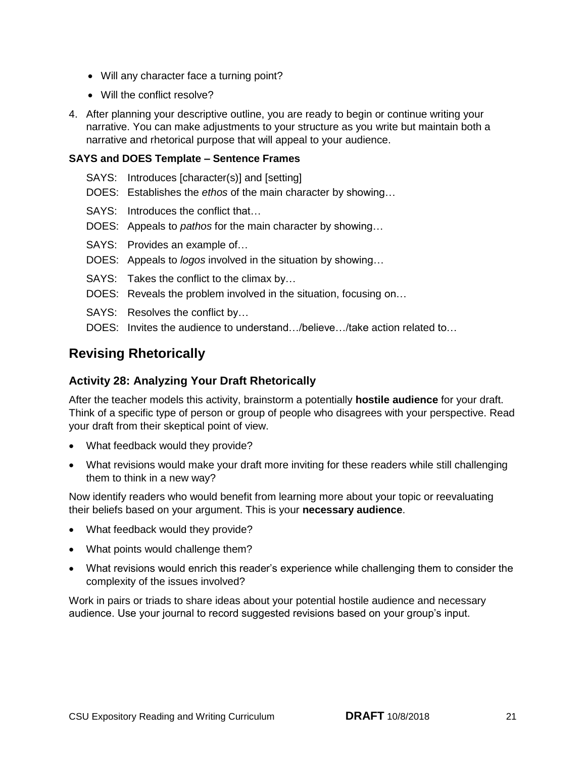- Will any character face a turning point?
- Will the conflict resolve?
- 4. After planning your descriptive outline, you are ready to begin or continue writing your narrative. You can make adjustments to your structure as you write but maintain both a narrative and rhetorical purpose that will appeal to your audience.

#### **SAYS and DOES Template – Sentence Frames**

- SAYS: Introduces [character(s)] and [setting]
- DOES: Establishes the *ethos* of the main character by showing…
- SAYS: Introduces the conflict that...
- DOES: Appeals to *pathos* for the main character by showing…
- SAYS: Provides an example of…
- DOES: Appeals to *logos* involved in the situation by showing…
- SAYS: Takes the conflict to the climax by…
- DOES: Reveals the problem involved in the situation, focusing on…
- SAYS: Resolves the conflict by...
- DOES: Invites the audience to understand…/believe…/take action related to…

## **Revising Rhetorically**

#### **Activity 28: Analyzing Your Draft Rhetorically**

 After the teacher models this activity, brainstorm a potentially **hostile audience** for your draft. Think of a specific type of person or group of people who disagrees with your perspective. Read your draft from their skeptical point of view.

- What feedback would they provide?
- What revisions would make your draft more inviting for these readers while still challenging them to think in a new way?

 Now identify readers who would benefit from learning more about your topic or reevaluating their beliefs based on your argument. This is your **necessary audience**.

- What feedback would they provide?
- What points would challenge them?
- What revisions would enrich this reader's experience while challenging them to consider the complexity of the issues involved?

 Work in pairs or triads to share ideas about your potential hostile audience and necessary audience. Use your journal to record suggested revisions based on your group's input.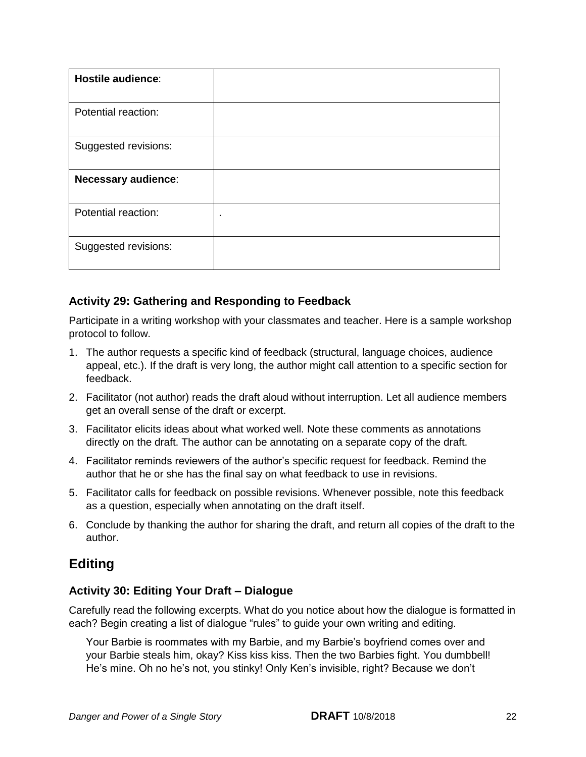| <b>Hostile audience:</b>   |           |
|----------------------------|-----------|
| Potential reaction:        |           |
| Suggested revisions:       |           |
| <b>Necessary audience:</b> |           |
| Potential reaction:        | $\bullet$ |
| Suggested revisions:       |           |

## **Activity 29: Gathering and Responding to Feedback**

 Participate in a writing workshop with your classmates and teacher. Here is a sample workshop protocol to follow.

- 1. The author requests a specific kind of feedback (structural, language choices, audience appeal, etc.). If the draft is very long, the author might call attention to a specific section for feedback.
- 2. Facilitator (not author) reads the draft aloud without interruption. Let all audience members get an overall sense of the draft or excerpt.
- 3. Facilitator elicits ideas about what worked well. Note these comments as annotations directly on the draft. The author can be annotating on a separate copy of the draft.
- 4. Facilitator reminds reviewers of the author's specific request for feedback. Remind the author that he or she has the final say on what feedback to use in revisions.
- 5. Facilitator calls for feedback on possible revisions. Whenever possible, note this feedback as a question, especially when annotating on the draft itself.
- 6. Conclude by thanking the author for sharing the draft, and return all copies of the draft to the author.

## **Editing**

#### **Activity 30: Editing Your Draft – Dialogue**

 Carefully read the following excerpts. What do you notice about how the dialogue is formatted in each? Begin creating a list of dialogue "rules" to guide your own writing and editing.

 Your Barbie is roommates with my Barbie, and my Barbie's boyfriend comes over and your Barbie steals him, okay? Kiss kiss kiss. Then the two Barbies fight. You dumbbell! He's mine. Oh no he's not, you stinky! Only Ken's invisible, right? Because we don't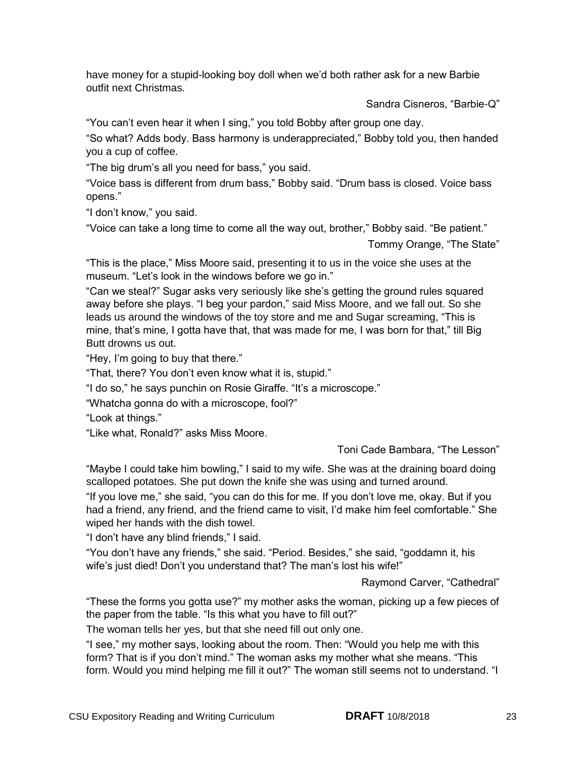have money for a stupid-looking boy doll when we'd both rather ask for a new Barbie outfit next Christmas.

Sandra Cisneros, "Barbie-Q"

"You can't even hear it when I sing," you told Bobby after group one day.

 "So what? Adds body. Bass harmony is underappreciated," Bobby told you, then handed you a cup of coffee.

"The big drum's all you need for bass," you said.

 "Voice bass is different from drum bass," Bobby said. "Drum bass is closed. Voice bass opens."

"I don't know," you said.

"Voice can take a long time to come all the way out, brother," Bobby said. "Be patient."

Tommy Orange, "The State"

 "This is the place," Miss Moore said, presenting it to us in the voice she uses at the museum. "Let's look in the windows before we go in."

 "Can we steal?" Sugar asks very seriously like she's getting the ground rules squared away before she plays. "I beg your pardon," said Miss Moore, and we fall out. So she leads us around the windows of the toy store and me and Sugar screaming, "This is mine, that's mine, I gotta have that, that was made for me, I was born for that," till Big Butt drowns us out.

"Hey, I'm going to buy that there."

"That, there? You don't even know what it is, stupid."

"I do so," he says punchin on Rosie Giraffe. "It's a microscope."

"Whatcha gonna do with a microscope, fool?"

"Look at things."

"Like what, Ronald?" asks Miss Moore.

Toni Cade Bambara, "The Lesson"

 "Maybe I could take him bowling," I said to my wife. She was at the draining board doing scalloped potatoes. She put down the knife she was using and turned around.

 "If you love me," she said, "you can do this for me. If you don't love me, okay. But if you had a friend, any friend, and the friend came to visit, I'd make him feel comfortable." She wiped her hands with the dish towel.

"I don't have any blind friends," I said.

 "You don't have any friends," she said. "Period. Besides," she said, "goddamn it, his wife's just died! Don't you understand that? The man's lost his wife!"

Raymond Carver, "Cathedral"

 "These the forms you gotta use?" my mother asks the woman, picking up a few pieces of the paper from the table. "Is this what you have to fill out?"

The woman tells her yes, but that she need fill out only one.

 "I see," my mother says, looking about the room. Then: "Would you help me with this form? That is if you don't mind." The woman asks my mother what she means. "This form. Would you mind helping me fill it out?" The woman still seems not to understand. "I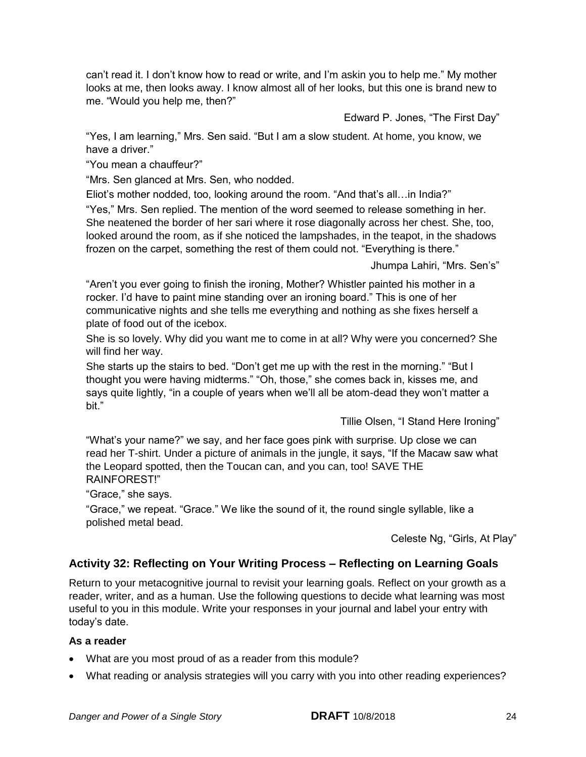can't read it. I don't know how to read or write, and I'm askin you to help me." My mother looks at me, then looks away. I know almost all of her looks, but this one is brand new to me. "Would you help me, then?"

Edward P. Jones, "The First Day"

 "Yes, I am learning," Mrs. Sen said. "But I am a slow student. At home, you know, we have a driver."

"You mean a chauffeur?"

"Mrs. Sen glanced at Mrs. Sen, who nodded.

 Eliot's mother nodded, too, looking around the room. "And that's all…in India?" "Yes," Mrs. Sen replied. The mention of the word seemed to release something in her. She neatened the border of her sari where it rose diagonally across her chest. She, too, looked around the room, as if she noticed the lampshades, in the teapot, in the shadows frozen on the carpet, something the rest of them could not. "Everything is there."

Jhumpa Lahiri, "Mrs. Sen's"

 "Aren't you ever going to finish the ironing, Mother? Whistler painted his mother in a rocker. I'd have to paint mine standing over an ironing board." This is one of her communicative nights and she tells me everything and nothing as she fixes herself a plate of food out of the icebox.

 She is so lovely. Why did you want me to come in at all? Why were you concerned? She will find her way.

 She starts up the stairs to bed. "Don't get me up with the rest in the morning." "But I thought you were having midterms." "Oh, those," she comes back in, kisses me, and says quite lightly, "in a couple of years when we'll all be atom-dead they won't matter a bit."

Tillie Olsen, "I Stand Here Ironing"

 "What's your name?" we say, and her face goes pink with surprise. Up close we can read her T-shirt. Under a picture of animals in the jungle, it says, "If the Macaw saw what the Leopard spotted, then the Toucan can, and you can, too! SAVE THE RAINFOREST!"

"Grace," she says.

 "Grace," we repeat. "Grace." We like the sound of it, the round single syllable, like a polished metal bead.

Celeste Ng, "Girls, At Play"

#### **Activity 32: Reflecting on Your Writing Process – Reflecting on Learning Goals**

 Return to your metacognitive journal to revisit your learning goals. Reflect on your growth as a reader, writer, and as a human. Use the following questions to decide what learning was most useful to you in this module. Write your responses in your journal and label your entry with today's date.

#### **As a reader**

- What are you most proud of as a reader from this module?
- What reading or analysis strategies will you carry with you into other reading experiences?